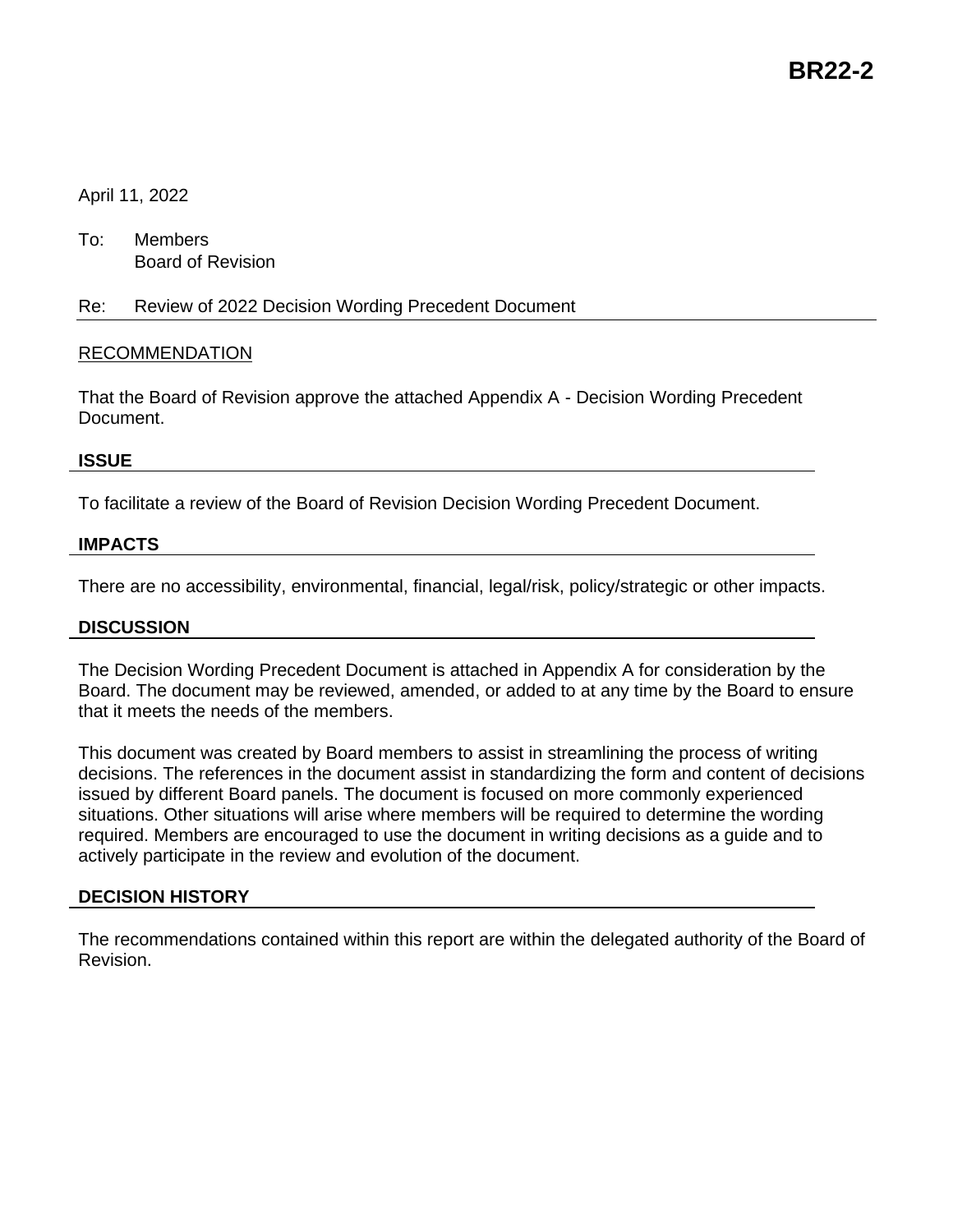# April 11, 2022

To: Members Board of Revision

Re: Review of 2022 Decision Wording Precedent Document

# RECOMMENDATION

That the Board of Revision approve the attached Appendix A - Decision Wording Precedent Document.

## **ISSUE**

To facilitate a review of the Board of Revision Decision Wording Precedent Document.

# **IMPACTS**

There are no accessibility, environmental, financial, legal/risk, policy/strategic or other impacts.

## **DISCUSSION**

The Decision Wording Precedent Document is attached in Appendix A for consideration by the Board. The document may be reviewed, amended, or added to at any time by the Board to ensure that it meets the needs of the members.

This document was created by Board members to assist in streamlining the process of writing decisions. The references in the document assist in standardizing the form and content of decisions issued by different Board panels. The document is focused on more commonly experienced situations. Other situations will arise where members will be required to determine the wording required. Members are encouraged to use the document in writing decisions as a guide and to actively participate in the review and evolution of the document.

## **DECISION HISTORY**

The recommendations contained within this report are within the delegated authority of the Board of Revision.